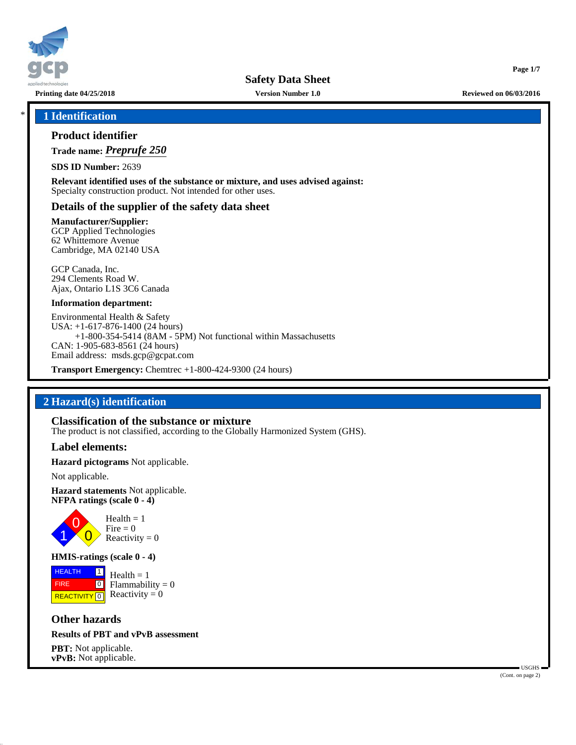

**Safety Data Sheet**

**Printing date 04/25/2018 Version Number 1.0 Reviewed on 06/03/2016**

**Page 1/7**

### \* **1 Identification**

### **Product identifier**

**Trade name:** *Preprufe 250*

**SDS ID Number:** 2639

**Relevant identified uses of the substance or mixture, and uses advised against:** Specialty construction product. Not intended for other uses.

### **Details of the supplier of the safety data sheet**

**Manufacturer/Supplier:**

GCP Applied Technologies 62 Whittemore Avenue Cambridge, MA 02140 USA

GCP Canada, Inc. 294 Clements Road W. Ajax, Ontario L1S 3C6 Canada

#### **Information department:**

Environmental Health & Safety USA: +1-617-876-1400 (24 hours) +1-800-354-5414 (8AM - 5PM) Not functional within Massachusetts CAN: 1-905-683-8561 (24 hours) Email address: msds.gcp@gcpat.com

**Transport Emergency:** Chemtrec +1-800-424-9300 (24 hours)

### **2 Hazard(s) identification**

#### **Classification of the substance or mixture**

The product is not classified, according to the Globally Harmonized System (GHS).

#### **Label elements:**

**Hazard pictograms** Not applicable.

Not applicable.

**Hazard statements** Not applicable. **NFPA ratings (scale 0 - 4)**



#### **HMIS-ratings (scale 0 - 4)**

**HEALTH**  FIRE **REACTIVITY** 0 |1|  $\boxed{0}$  $Health = 1$  $Flammability = 0$ Reactivity  $= 0$ 

**Other hazards**

### **Results of PBT and vPvB assessment**

**PBT:** Not applicable. **vPvB:** Not applicable.

 USGHS (Cont. on page 2)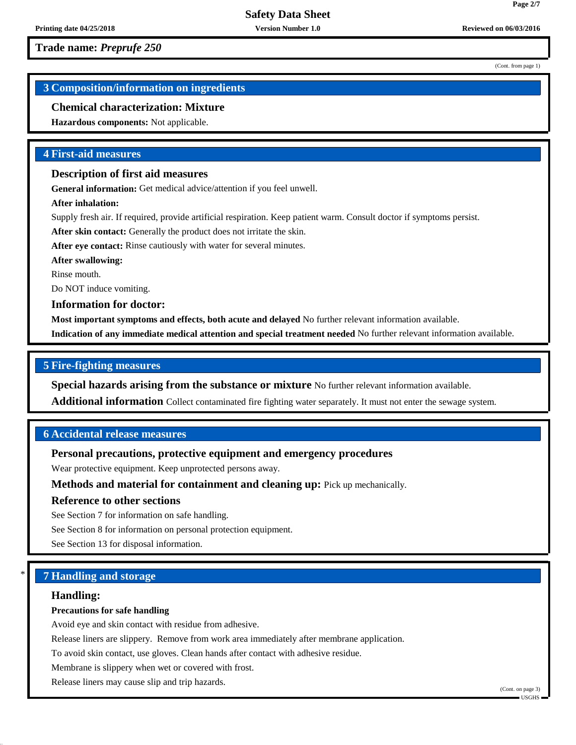**Trade name:** *Preprufe 250*

(Cont. from page 1)

**Page 2/7**

# **3 Composition/information on ingredients**

# **Chemical characterization: Mixture**

**Hazardous components:** Not applicable.

# **4 First-aid measures**

## **Description of first aid measures**

**General information:** Get medical advice/attention if you feel unwell.

**After inhalation:**

Supply fresh air. If required, provide artificial respiration. Keep patient warm. Consult doctor if symptoms persist.

**After skin contact:** Generally the product does not irritate the skin.

**After eye contact:** Rinse cautiously with water for several minutes.

**After swallowing:**

Rinse mouth.

Do NOT induce vomiting.

**Information for doctor:**

**Most important symptoms and effects, both acute and delayed** No further relevant information available.

**Indication of any immediate medical attention and special treatment needed** No further relevant information available.

# **5 Fire-fighting measures**

**Special hazards arising from the substance or mixture** No further relevant information available.

**Additional information** Collect contaminated fire fighting water separately. It must not enter the sewage system.

# **6 Accidental release measures**

# **Personal precautions, protective equipment and emergency procedures**

Wear protective equipment. Keep unprotected persons away.

**Methods and material for containment and cleaning up:** Pick up mechanically.

# **Reference to other sections**

See Section 7 for information on safe handling.

See Section 8 for information on personal protection equipment.

See Section 13 for disposal information.

# \* **7 Handling and storage**

# **Handling:**

# **Precautions for safe handling**

Avoid eye and skin contact with residue from adhesive.

Release liners are slippery. Remove from work area immediately after membrane application.

To avoid skin contact, use gloves. Clean hands after contact with adhesive residue.

Membrane is slippery when wet or covered with frost.

Release liners may cause slip and trip hazards.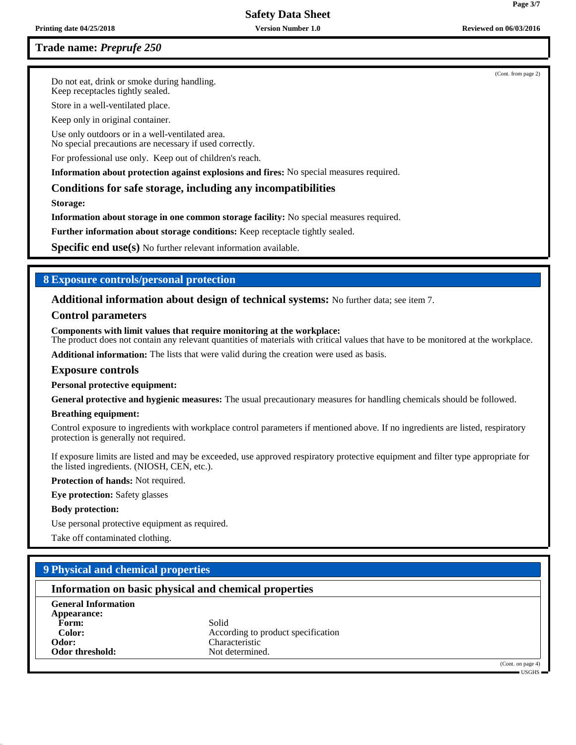# **Safety Data Sheet**

### **Trade name:** *Preprufe 250*

Do not eat, drink or smoke during handling. Keep receptacles tightly sealed.

Store in a well-ventilated place.

Keep only in original container.

Use only outdoors or in a well-ventilated area.

No special precautions are necessary if used correctly.

For professional use only. Keep out of children's reach.

**Information about protection against explosions and fires:** No special measures required.

### **Conditions for safe storage, including any incompatibilities**

**Storage:**

**Information about storage in one common storage facility:** No special measures required.

**Further information about storage conditions:** Keep receptacle tightly sealed.

**Specific end use(s)** No further relevant information available.

### **8 Exposure controls/personal protection**

**Additional information about design of technical systems:** No further data; see item 7.

### **Control parameters**

#### **Components with limit values that require monitoring at the workplace:**

The product does not contain any relevant quantities of materials with critical values that have to be monitored at the workplace.

**Additional information:** The lists that were valid during the creation were used as basis.

#### **Exposure controls**

#### **Personal protective equipment:**

**General protective and hygienic measures:** The usual precautionary measures for handling chemicals should be followed.

#### **Breathing equipment:**

Control exposure to ingredients with workplace control parameters if mentioned above. If no ingredients are listed, respiratory protection is generally not required.

If exposure limits are listed and may be exceeded, use approved respiratory protective equipment and filter type appropriate for the listed ingredients. (NIOSH, CEN, etc.).

**Protection of hands:** Not required.

**Eye protection:** Safety glasses

#### **Body protection:**

Use personal protective equipment as required.

Take off contaminated clothing.

# **9 Physical and chemical properties**

### **Information on basic physical and chemical properties**

**General Information Appearance:** Form: Solid **Odor threshold:** 

**Color:** According to product specification **Odor:** Characteristic Characteristic Characteristic Characteristic Characteristic Characteristic Characteristic

> (Cont. on page 4) USGHS

(Cont. from page 2)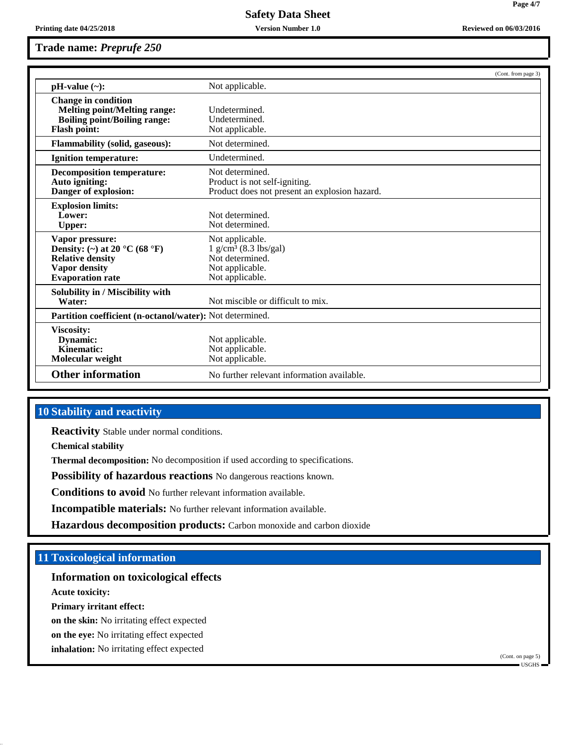**Trade name:** *Preprufe 250*

|                                                                                                                                                    | (Cont. from page 3)                                                                                             |  |  |
|----------------------------------------------------------------------------------------------------------------------------------------------------|-----------------------------------------------------------------------------------------------------------------|--|--|
| $pH-value (\sim):$                                                                                                                                 | Not applicable.                                                                                                 |  |  |
| <b>Change in condition</b><br><b>Melting point/Melting range:</b><br><b>Boiling point/Boiling range:</b><br><b>Flash point:</b>                    | Undetermined.<br>Undetermined.<br>Not applicable.                                                               |  |  |
| <b>Flammability (solid, gaseous):</b>                                                                                                              | Not determined.                                                                                                 |  |  |
| <b>Ignition temperature:</b>                                                                                                                       | Undetermined.                                                                                                   |  |  |
| <b>Decomposition temperature:</b><br>Auto igniting:<br>Danger of explosion:                                                                        | Not determined.<br>Product is not self-igniting.<br>Product does not present an explosion hazard.               |  |  |
| <b>Explosion limits:</b><br>Lower:<br><b>Upper:</b>                                                                                                | Not determined.<br>Not determined.                                                                              |  |  |
| Vapor pressure:<br>Density: (~) at 20 $^{\circ}$ C (68 $^{\circ}$ F)<br><b>Relative density</b><br><b>Vapor density</b><br><b>Evaporation rate</b> | Not applicable.<br>$1$ g/cm <sup>3</sup> (8.3 lbs/gal)<br>Not determined.<br>Not applicable.<br>Not applicable. |  |  |
| Solubility in / Miscibility with<br>Water:                                                                                                         | Not miscible or difficult to mix.                                                                               |  |  |
| Partition coefficient (n-octanol/water): Not determined.                                                                                           |                                                                                                                 |  |  |
| <b>Viscosity:</b><br>Dynamic:<br>Kinematic:<br>Molecular weight                                                                                    | Not applicable.<br>Not applicable.<br>Not applicable.                                                           |  |  |
| <b>Other information</b>                                                                                                                           | No further relevant information available.                                                                      |  |  |

### **10 Stability and reactivity**

**Reactivity** Stable under normal conditions.

**Chemical stability**

**Thermal decomposition:** No decomposition if used according to specifications.

**Possibility of hazardous reactions** No dangerous reactions known.

**Conditions to avoid** No further relevant information available.

**Incompatible materials:** No further relevant information available.

**Hazardous decomposition products:** Carbon monoxide and carbon dioxide

### **11 Toxicological information**

### **Information on toxicological effects**

**Acute toxicity:**

**Primary irritant effect:**

**on the skin:** No irritating effect expected

**on the eye:** No irritating effect expected

**inhalation:** No irritating effect expected

**Printing date 04/25/2018 Version Number 1.0 Reviewed on 06/03/2016**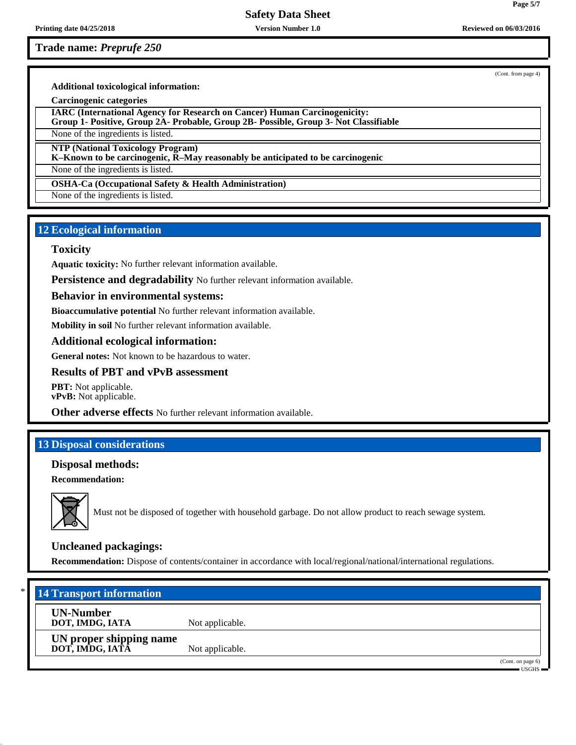**Printing date 04/25/2018 Version Number 1.0 Reviewed on 06/03/2016**

# **Safety Data Sheet**

**Trade name:** *Preprufe 250*

(Cont. from page 4)

**Additional toxicological information:**

**Carcinogenic categories**

**IARC (International Agency for Research on Cancer) Human Carcinogenicity: Group 1- Positive, Group 2A- Probable, Group 2B- Possible, Group 3- Not Classifiable**

None of the ingredients is listed.

**NTP (National Toxicology Program)**

**K–Known to be carcinogenic, R–May reasonably be anticipated to be carcinogenic**

None of the ingredients is listed.

**OSHA-Ca (Occupational Safety & Health Administration)**

None of the ingredients is listed.

### **12 Ecological information**

### **Toxicity**

**Aquatic toxicity:** No further relevant information available.

**Persistence and degradability** No further relevant information available.

### **Behavior in environmental systems:**

**Bioaccumulative potential** No further relevant information available.

**Mobility in soil** No further relevant information available.

### **Additional ecological information:**

**General notes:** Not known to be hazardous to water.

### **Results of PBT and vPvB assessment**

**PBT:** Not applicable. **vPvB:** Not applicable.

**Other adverse effects** No further relevant information available.

### **13 Disposal considerations**

### **Disposal methods:**

**Recommendation:**



Must not be disposed of together with household garbage. Do not allow product to reach sewage system.

# **Uncleaned packagings:**

**Recommendation:** Dispose of contents/container in accordance with local/regional/national/international regulations.

| $*1$ | <b>14 Transport information</b>            |                 |  |                              |
|------|--------------------------------------------|-----------------|--|------------------------------|
|      | <b>UN-Number</b><br>DOT, IMDG, IATA        | Not applicable. |  |                              |
|      | UN proper shipping name<br>DOT, IMDG, IATA | Not applicable. |  |                              |
|      |                                            |                 |  | (Cont. on page 6)<br>USGHS = |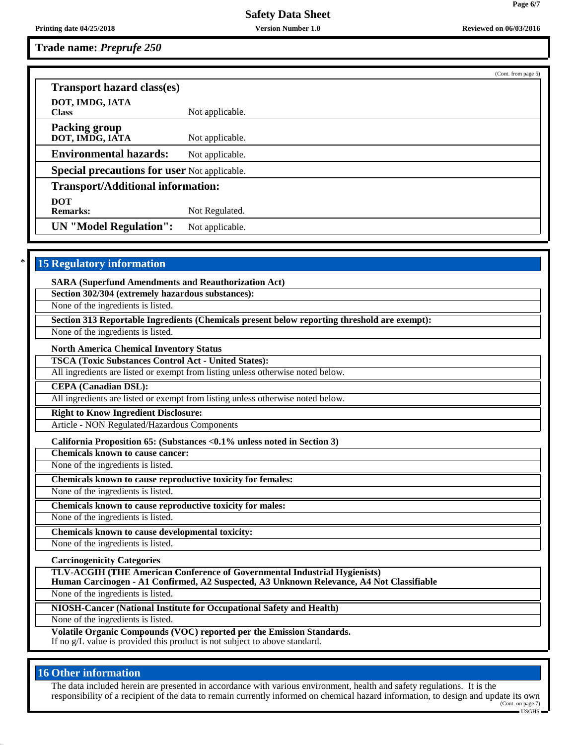**Printing date 04/25/2018 Version Number 1.0 Reviewed on 06/03/2016 Reviewed on 06/03/2016** 

**Trade name:** *Preprufe 250*

(Cont. from page 5) **Transport hazard class(es) DOT, IMDG, IATA** Not applicable. **Packing group DOT, IMDG, IATA** Not applicable. **Environmental hazards:** Not applicable. **Special precautions for user** Not applicable. **Transport/Additional information: DOT Remarks:** Not Regulated. **UN "Model Regulation":** Not applicable.

# **15 Regulatory information**

**SARA (Superfund Amendments and Reauthorization Act)**

**Section 302/304 (extremely hazardous substances):**

None of the ingredients is listed.

**Section 313 Reportable Ingredients (Chemicals present below reporting threshold are exempt):**

None of the ingredients is listed.

**North America Chemical Inventory Status**

**TSCA (Toxic Substances Control Act - United States):**

All ingredients are listed or exempt from listing unless otherwise noted below.

**CEPA (Canadian DSL):**

All ingredients are listed or exempt from listing unless otherwise noted below.

**Right to Know Ingredient Disclosure:**

Article - NON Regulated/Hazardous Components

**California Proposition 65: (Substances <0.1% unless noted in Section 3)**

**Chemicals known to cause cancer:**

None of the ingredients is listed. **Chemicals known to cause reproductive toxicity for females:**

None of the ingredients is listed.

**Chemicals known to cause reproductive toxicity for males:**

None of the ingredients is listed.

**Chemicals known to cause developmental toxicity:**

None of the ingredients is listed.

**Carcinogenicity Categories**

**TLV-ACGIH (THE American Conference of Governmental Industrial Hygienists)**

**Human Carcinogen - A1 Confirmed, A2 Suspected, A3 Unknown Relevance, A4 Not Classifiable**

None of the ingredients is listed.

**NIOSH-Cancer (National Institute for Occupational Safety and Health)**

None of the ingredients is listed.

**Volatile Organic Compounds (VOC) reported per the Emission Standards.** If no g/L value is provided this product is not subject to above standard.

# **16 Other information**

The data included herein are presented in accordance with various environment, health and safety regulations. It is the responsibility of a recipient of the data to remain currently informed on chemical hazard information, to design and update its own (Cont. on page 7)

USGHS